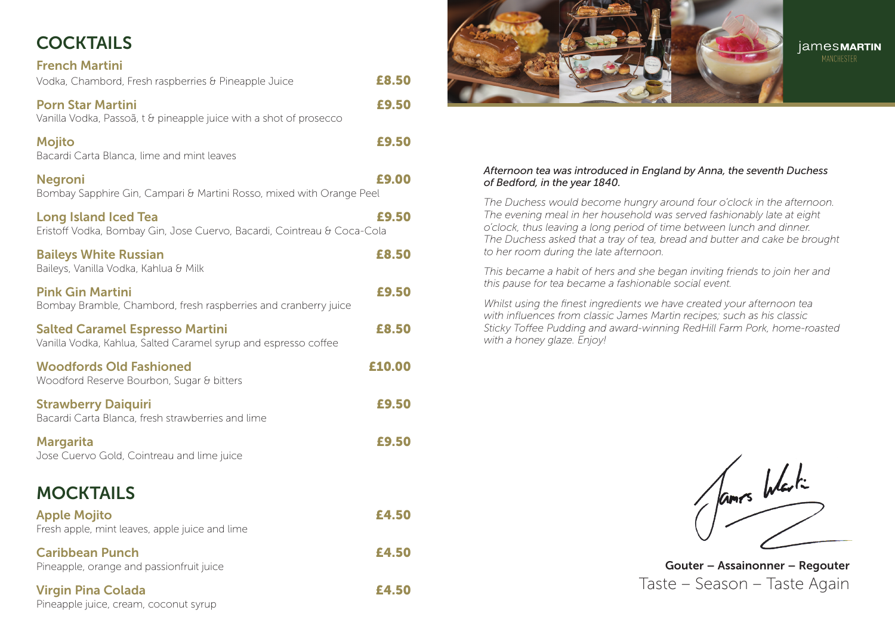# COCKTAILS

| <b>French Martini</b><br>Vodka, Chambord, Fresh raspberries & Pineapple Juice                             | £8.50  |
|-----------------------------------------------------------------------------------------------------------|--------|
| <b>Porn Star Martini</b><br>Vanilla Vodka, Passoã, t & pineapple juice with a shot of prosecco            | £9,50  |
| <b>Mojito</b><br>Bacardi Carta Blanca, lime and mint leaves                                               | £9,50  |
| <b>Negroni</b><br>Bombay Sapphire Gin, Campari & Martini Rosso, mixed with Orange Peel                    | £9.00  |
| <b>Long Island Iced Tea</b><br>Eristoff Vodka, Bombay Gin, Jose Cuervo, Bacardi, Cointreau & Coca-Cola    | £9.50  |
| <b>Baileys White Russian</b><br>Baileys, Vanilla Vodka, Kahlua & Milk                                     | £8.50  |
| <b>Pink Gin Martini</b><br>Bombay Bramble, Chambord, fresh raspberries and cranberry juice                | £9.50  |
| <b>Salted Caramel Espresso Martini</b><br>Vanilla Vodka, Kahlua, Salted Caramel syrup and espresso coffee | £8,50  |
| <b>Woodfords Old Fashioned</b><br>Woodford Reserve Bourbon, Sugar & bitters                               | £10.00 |
| <b>Strawberry Daiquiri</b><br>Bacardi Carta Blanca, fresh strawberries and lime                           | £9.50  |
| <b>Margarita</b><br>Jose Cuervo Gold, Cointreau and lime juice                                            | £9,50  |
| <b>MOCKTAILS</b>                                                                                          |        |
| <b>Apple Mojito</b><br>Fresh apple, mint leaves, apple juice and lime                                     | £4.50  |
| <b>Caribbean Punch</b><br>Pineapple, orange and passionfruit juice                                        | £4.50  |
| <b>Virgin Pina Colada</b>                                                                                 | £4.50  |

Pineapple juice, cream, coconut syrup

james**MARTIN** 

#### *Afternoon tea was introduced in England by Anna, the seventh Duchess of Bedford, in the year 1840.*

*The Duchess would become hungry around four o'clock in the afternoon. The evening meal in her household was served fashionably late at eight o'clock, thus leaving a long period of time between lunch and dinner. The Duchess asked that a tray of tea, bread and butter and cake be brought to her room during the late afternoon.*

*This became a habit of hers and she began inviting friends to join her and this pause for tea became a fashionable social event.*

*Whilst using the finest ingredients we have created your afternoon tea with influences from classic James Martin recipes; such as his classic Sticky Toffee Pudding and award-winning RedHill Farm Pork, home-roasted with a honey glaze. Enjoy!*

fames Westing

Gouter – Assainonner – Regouter Taste – Season – Taste Again